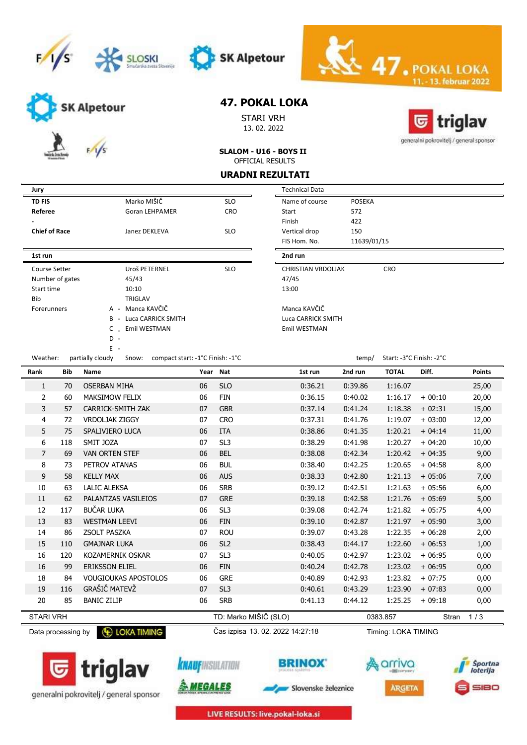





SK Alpetour

STARI VRH 13. 02. 2022



13. februar 2022

generalni pokrovitelj / general sponsor

SLALOM - U16 - BOYS II OFFICIAL RESULTS

#### URADNI REZULTATI

|  | Jury                            |                               |                                                               |          |                    | <b>Technical Data</b>     |               |                          |          |
|--|---------------------------------|-------------------------------|---------------------------------------------------------------|----------|--------------------|---------------------------|---------------|--------------------------|----------|
|  | <b>TD FIS</b>                   |                               | Marko MIŠIČ                                                   |          | <b>SLO</b>         | Name of course            | <b>POSEKA</b> |                          |          |
|  | Referee                         |                               | <b>Goran LEHPAMER</b>                                         |          | <b>CRO</b>         | Start                     | 572           |                          |          |
|  |                                 |                               |                                                               |          |                    | Finish                    | 422           |                          |          |
|  | <b>Chief of Race</b>            |                               | Janez DEKLEVA                                                 |          | <b>SLO</b>         | Vertical drop             | 150           |                          |          |
|  |                                 |                               |                                                               |          |                    | FIS Hom. No.              | 11639/01/15   |                          |          |
|  | 1st run                         |                               |                                                               |          |                    | 2nd run                   |               |                          |          |
|  | Course Setter                   |                               | Uroš PETERNEL                                                 |          | <b>SLO</b>         | <b>CHRISTIAN VRDOLJAK</b> |               | CRO                      |          |
|  | Number of gates                 |                               | 45/43                                                         |          |                    | 47/45                     |               |                          |          |
|  | Start time                      |                               | 10:10                                                         |          |                    | 13:00                     |               |                          |          |
|  | <b>Bib</b><br><b>TRIGLAV</b>    |                               |                                                               |          |                    |                           |               |                          |          |
|  | A - Manca KAVČIČ<br>Forerunners |                               |                                                               |          | Manca KAVČIČ       |                           |               |                          |          |
|  |                                 | <b>B</b> - Luca CARRICK SMITH |                                                               |          | Luca CARRICK SMITH |                           |               |                          |          |
|  |                                 |                               | Emil WESTMAN<br>C                                             |          |                    | Emil WESTMAN              |               |                          |          |
|  |                                 |                               | $D -$                                                         |          |                    |                           |               |                          |          |
|  |                                 |                               | $E -$                                                         |          |                    |                           |               |                          |          |
|  | Weather:                        |                               | partially cloudy<br>compact start: -1°C Finish: -1°C<br>Snow: |          |                    |                           | temp/         | Start: -3°C Finish: -2°C |          |
|  | Rank                            | <b>Bib</b>                    | Name                                                          | Year Nat |                    | 1st run                   | 2nd run       | <b>TOTAL</b>             | Diff.    |
|  | 1                               | 70                            | <b>OSERBAN MIHA</b>                                           | 06       | <b>SLO</b>         | 0:36.21                   | 0:39.86       | 1:16.07                  |          |
|  | 2                               | 60                            | <b>MAKSIMOW FELIX</b>                                         | 06       | <b>FIN</b>         | 0:36.15                   | 0:40.02       | 1:16.17                  | $+00:10$ |
|  | 3                               | 57                            | CARRICK-SMITH ZAK                                             | 07       | <b>GBR</b>         | 0:37.14                   | 0:41.24       | 1:18.38                  | $+02:31$ |
|  | 4                               | 72                            | <b>VRDOLJAK ZIGGY</b>                                         | 07       | <b>CRO</b>         | 0:37.31                   | 0:41.76       | 1:19.07                  | $+03:00$ |
|  | 5                               | 75                            | SPALIVIERO LUCA                                               | 06       | <b>ITA</b>         | 0:38.86                   | 0:41.35       | 1:20.21                  | $+04:14$ |

| Technical Data            |               |                          |  |
|---------------------------|---------------|--------------------------|--|
| Name of course            | <b>POSEKA</b> |                          |  |
| Start                     | 572           |                          |  |
| Finish                    | 422           |                          |  |
| Vertical drop             | 150           |                          |  |
| FIS Hom, No.              | 11639/01/15   |                          |  |
| 2nd run                   |               |                          |  |
| <b>CHRISTIAN VRDOLJAK</b> |               | <b>CRO</b>               |  |
| 47/45                     |               |                          |  |
| 13:00                     |               |                          |  |
| Manca KAVČIČ              |               |                          |  |
| Luca CARRICK SMITH        |               |                          |  |
| Emil WESTMAN              |               |                          |  |
|                           |               |                          |  |
|                           |               |                          |  |
|                           | temp/         | Start: -3°C Finish: -2°C |  |

 $\leq 47.$  PC

| <b>Bib</b>       | <b>Name</b>                 |    |                 | 1st run                           | 2nd run | <b>TOTAL</b> | Diff.    | <b>Points</b> |
|------------------|-----------------------------|----|-----------------|-----------------------------------|---------|--------------|----------|---------------|
| 70               | <b>OSERBAN MIHA</b>         | 06 | <b>SLO</b>      | 0:36.21                           | 0:39.86 | 1:16.07      |          | 25,00         |
| 60               | <b>MAKSIMOW FELIX</b>       | 06 | <b>FIN</b>      | 0:36.15                           | 0:40.02 | 1:16.17      | $+00:10$ | 20,00         |
| 57               | <b>CARRICK-SMITH ZAK</b>    | 07 | <b>GBR</b>      | 0:37.14                           | 0:41.24 | 1:18.38      | $+02:31$ | 15,00         |
| 72               | <b>VRDOLJAK ZIGGY</b>       | 07 | <b>CRO</b>      | 0:37.31                           | 0:41.76 | 1:19.07      | $+03:00$ | 12,00         |
| 75               | SPALIVIERO LUCA             | 06 | <b>ITA</b>      | 0:38.86                           | 0:41.35 | 1:20.21      | $+04:14$ | 11,00         |
| 118              | SMIT JOZA                   | 07 | SL <sub>3</sub> | 0:38.29                           | 0:41.98 | 1:20.27      | $+04:20$ | 10,00         |
| 69               | <b>VAN ORTEN STEF</b>       | 06 | <b>BEL</b>      | 0:38.08                           | 0:42.34 | 1:20.42      | $+04:35$ | 9,00          |
| 73               | PETROV ATANAS               | 06 | <b>BUL</b>      | 0:38.40                           | 0:42.25 | 1:20.65      | $+04:58$ | 8,00          |
| 58               | <b>KELLY MAX</b>            | 06 | <b>AUS</b>      | 0:38.33                           | 0:42.80 | 1:21.13      | $+05:06$ | 7,00          |
| 63               | <b>LALIC ALEKSA</b>         | 06 | <b>SRB</b>      | 0:39.12                           | 0:42.51 | 1:21.63      | $+05:56$ | 6,00          |
| 62               | PALANTZAS VASILEIOS         | 07 | <b>GRE</b>      | 0:39.18                           | 0:42.58 | 1:21.76      | $+05:69$ | 5,00          |
| 117              | BUČAR LUKA                  | 06 | SL <sub>3</sub> | 0:39.08                           | 0:42.74 | 1:21.82      | $+05:75$ | 4,00          |
| 83               | <b>WESTMAN LEEVI</b>        | 06 | <b>FIN</b>      | 0:39.10                           | 0:42.87 | 1:21.97      | $+05:90$ | 3,00          |
| 86               | <b>ZSOLT PASZKA</b>         | 07 | <b>ROU</b>      | 0:39.07                           | 0:43.28 | 1:22.35      | $+06:28$ | 2,00          |
| 110              | <b>GMAJNAR LUKA</b>         | 06 | SL <sub>2</sub> | 0:38.43                           | 0:44.17 | 1:22.60      | $+06:53$ | 1,00          |
| 120              | KOZAMERNIK OSKAR            | 07 | SL <sub>3</sub> | 0:40.05                           | 0:42.97 | 1:23.02      | $+06:95$ | 0,00          |
| 99               | ERIKSSON ELIEL              | 06 | <b>FIN</b>      | 0:40.24                           | 0:42.78 | 1:23.02      | $+06:95$ | 0,00          |
| 84               | <b>VOUGIOUKAS APOSTOLOS</b> | 06 | <b>GRE</b>      | 0:40.89                           | 0:42.93 | 1:23.82      | $+07:75$ | 0,00          |
| 116              | GRAŠIČ MATEVŽ               | 07 | SL <sub>3</sub> | 0:40.61                           | 0:43.29 | 1:23.90      | $+07:83$ | 0,00          |
| 85               | <b>BANIC ZILIP</b>          | 06 | <b>SRB</b>      | 0:41.13                           | 0:44.12 | 1:25.25      | $+09:18$ | 0,00          |
| <b>STARI VRH</b> |                             |    |                 |                                   |         |              | Stran    | 1/3           |
|                  |                             |    |                 | Year Nat<br>TD: Marko MIŠIČ (SLO) |         |              | 0383.857 |               |

Data processing by **C** LOKA TIMING Cas izpisa 13. 02. 2022 14:27:18

**knauf**insulation

<u> A MEGALES</u>



Timing: LOKA TIMING









LIVE RESULTS: live.pokal-loka.si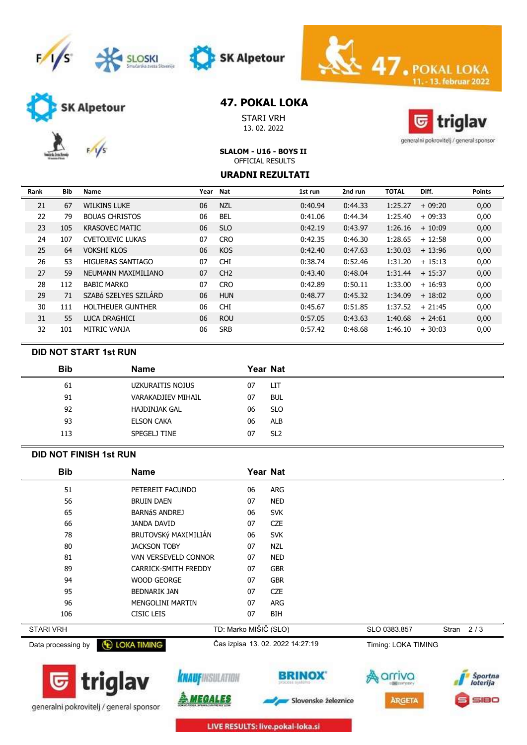





SK Alpetour

STARI VRH 13. 02. 2022



11. - 13. februar 2022

 $\leq 47.$ POK

generalni pokrovitelj / general sponsor

SLALOM - U16 - BOYS II

### OFFICIAL RESULTS URADNI REZULTATI

| Rank | <b>Bib</b> | Name                     | Year | <b>Nat</b> | 1st run | 2nd run | <b>TOTAL</b> | Diff.    | <b>Points</b> |
|------|------------|--------------------------|------|------------|---------|---------|--------------|----------|---------------|
| 21   | 67         | <b>WILKINS LUKE</b>      | 06   | <b>NZL</b> | 0:40.94 | 0:44.33 | 1:25.27      | $+09:20$ | 0,00          |
| 22   | 79         | <b>BOUAS CHRISTOS</b>    | 06   | <b>BEL</b> | 0:41.06 | 0:44.34 | 1:25.40      | $+09:33$ | 0,00          |
| 23   | 105        | <b>KRASOVEC MATIC</b>    | 06   | <b>SLO</b> | 0:42.19 | 0:43.97 | 1:26.16      | $+10:09$ | 0,00          |
| 24   | 107        | <b>CVETOJEVIC LUKAS</b>  | 07   | <b>CRO</b> | 0:42.35 | 0:46.30 | 1:28.65      | $+12:58$ | 0,00          |
| 25   | 64         | VOKSHI KLOS              | 06   | <b>KOS</b> | 0:42.40 | 0:47.63 | 1:30.03      | $+13:96$ | 0,00          |
| 26   | 53         | HIGUERAS SANTIAGO        | 07   | <b>CHI</b> | 0:38.74 | 0:52.46 | 1:31.20      | $+15:13$ | 0,00          |
| 27   | 59         | NEUMANN MAXIMILIANO      | 07   | CH2        | 0:43.40 | 0:48.04 | 1:31.44      | $+15:37$ | 0,00          |
| 28   | 112        | <b>BABIC MARKO</b>       | 07   | <b>CRO</b> | 0:42.89 | 0:50.11 | 1:33.00      | $+16:93$ | 0,00          |
| 29   | 71         | SZABÓ SZELYES SZILÁRD    | 06   | <b>HUN</b> | 0:48.77 | 0:45.32 | 1:34.09      | $+18:02$ | 0,00          |
| 30   | 111        | <b>HOLTHEUER GUNTHER</b> | 06   | <b>CHI</b> | 0:45.67 | 0:51.85 | 1:37.52      | $+21:45$ | 0,00          |
| 31   | 55         | LUCA DRAGHICI            | 06   | <b>ROU</b> | 0:57.05 | 0:43.63 | 1:40.68      | $+24:61$ | 0,00          |
| 32   | 101        | MITRIC VANJA             | 06   | <b>SRB</b> | 0:57.42 | 0:48.68 | 1:46.10      | $+30:03$ | 0,00          |

### DID NOT START 1st RUN

| <b>Bib</b> | <b>Name</b>          | Year Nat |                 |
|------------|----------------------|----------|-----------------|
| 61         | UZKURAITIS NOJUS     | 07       | LIТ             |
| 91         | VARAKADJIEV MIHAIL   | 07       | <b>BUL</b>      |
| 92         | <b>HAJDINJAK GAL</b> | 06       | <b>SLO</b>      |
| 93         | <b>ELSON CAKA</b>    | 06       | <b>ALB</b>      |
| 113        | SPEGELJ TINE         | 07       | SL <sub>2</sub> |
|            |                      |          |                 |

### DID NOT FINISH 1st RUN

| <b>Bib</b>         | <b>Name</b>             | Year Nat                         |            |                     |             |  |
|--------------------|-------------------------|----------------------------------|------------|---------------------|-------------|--|
| 51                 | PETEREIT FACUNDO        | 06                               | ARG        |                     |             |  |
| 56                 | <b>BRUIN DAEN</b>       | 07                               | <b>NED</b> |                     |             |  |
| 65                 | <b>BARNÁS ANDREJ</b>    | 06                               | <b>SVK</b> |                     |             |  |
| 66                 | <b>JANDA DAVID</b>      | 07                               | <b>CZE</b> |                     |             |  |
| 78                 | BRUTOVSKý MAXIMILIÁN    | 06                               | <b>SVK</b> |                     |             |  |
| 80                 | <b>JACKSON TOBY</b>     | 07                               | <b>NZL</b> |                     |             |  |
| 81                 | VAN VERSEVELD CONNOR    | 07                               | <b>NED</b> |                     |             |  |
| 89                 | CARRICK-SMITH FREDDY    | 07                               | <b>GBR</b> |                     |             |  |
| 94                 | <b>WOOD GEORGE</b>      | 07                               | <b>GBR</b> |                     |             |  |
| 95                 | <b>BEDNARIK JAN</b>     | 07                               | <b>CZE</b> |                     |             |  |
| 96                 | <b>MENGOLINI MARTIN</b> | 07                               | <b>ARG</b> |                     |             |  |
| 106                | CISIC LEIS              | 07                               | <b>BIH</b> |                     |             |  |
| <b>STARI VRH</b>   |                         | TD: Marko MIŠIČ (SLO)            |            | SLO 0383.857        | Stran $2/3$ |  |
| Data processing by | <b>E LOKA TIMING</b>    | Čas izpisa 13. 02. 2022 14:27:19 |            | Timing: LOKA TIMING |             |  |





<u>iegales</u>



Slovenske železnice





LIVE RESULTS: live.pokal-loka.si